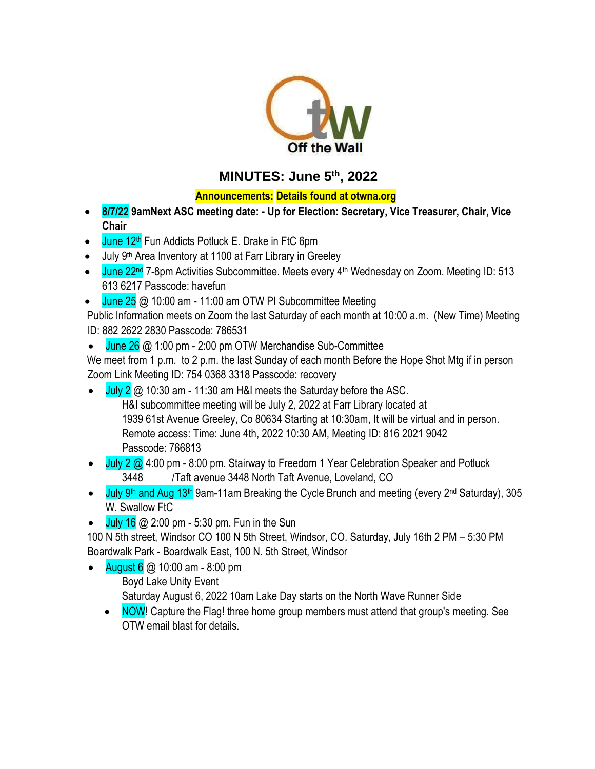

# **MINUTES: June 5th , 2022**

## **Announcements: Details found at otwna.org**

- **8/7/22 9amNext ASC meeting date: - Up for Election: Secretary, Vice Treasurer, Chair, Vice Chair**
- $\bullet$  June 12<sup>th</sup> Fun Addicts Potluck E. Drake in FtC 6pm
- July 9<sup>th</sup> Area Inventory at 1100 at Farr Library in Greeley
- June  $22<sup>nd</sup>$  7-8pm Activities Subcommittee. Meets every 4<sup>th</sup> Wednesday on Zoom. Meeting ID: 513 613 6217 Passcode: havefun
- $\bullet$  June 25  $\omega$  10:00 am 11:00 am OTW PI Subcommittee Meeting

Public Information meets on Zoom the last Saturday of each month at 10:00 a.m. (New Time) Meeting ID: 882 2622 2830 Passcode: 786531

 $\bullet$  June 26  $\omega$  1:00 pm - 2:00 pm OTW Merchandise Sub-Committee

We meet from 1 p.m. to 2 p.m. the last Sunday of each month Before the Hope Shot Mtg if in person Zoom Link Meeting ID: 754 0368 3318 Passcode: recovery

- July  $2 \text{ } \textcircled{a}$  10:30 am 11:30 am H&I meets the Saturday before the ASC. H&I subcommittee meeting will be July 2, 2022 at Farr Library located at 1939 61st Avenue Greeley, Co 80634 Starting at 10:30am, It will be virtual and in person. Remote access: Time: June 4th, 2022 10:30 AM, Meeting ID: 816 2021 9042 Passcode: 766813
- July 2 @ 4:00 pm 8:00 pm. Stairway to Freedom 1 Year Celebration Speaker and Potluck 3448 /Taft avenue 3448 North Taft Avenue, Loveland, CO
- July 9<sup>th</sup> and Aug 13<sup>th</sup> 9am-11am Breaking the Cycle Brunch and meeting (every 2<sup>nd</sup> Saturday), 305 W. Swallow FtC
- July 16  $@$  2:00 pm 5:30 pm. Fun in the Sun

100 N 5th street, Windsor CO 100 N 5th Street, Windsor, CO. Saturday, July 16th 2 PM – 5:30 PM Boardwalk Park - Boardwalk East, 100 N. 5th Street, Windsor

- August 6 @ 10:00 am 8:00 pm Boyd Lake Unity Event Saturday August 6, 2022 10am Lake Day starts on the North Wave Runner Side
	- NOW! Capture the Flag! three home group members must attend that group's meeting. See OTW email blast for details.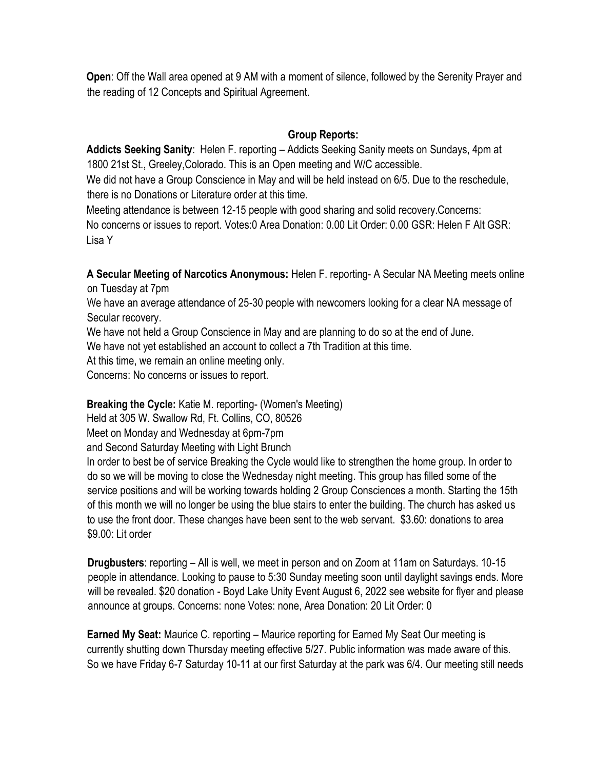**Open**: Off the Wall area opened at 9 AM with a moment of silence, followed by the Serenity Prayer and the reading of 12 Concepts and Spiritual Agreement.

#### **Group Reports:**

**Addicts Seeking Sanity**: Helen F. reporting – Addicts Seeking Sanity meets on Sundays, 4pm at 1800 21st St., Greeley,Colorado. This is an Open meeting and W/C accessible.

We did not have a Group Conscience in May and will be held instead on 6/5. Due to the reschedule, there is no Donations or Literature order at this time.

Meeting attendance is between 12-15 people with good sharing and solid recovery.Concerns: No concerns or issues to report. Votes:0 Area Donation: 0.00 Lit Order: 0.00 GSR: Helen F Alt GSR: Lisa Y

**A Secular Meeting of Narcotics Anonymous:** Helen F. reporting- A Secular NA Meeting meets online on Tuesday at 7pm

We have an average attendance of 25-30 people with newcomers looking for a clear NA message of Secular recovery.

We have not held a Group Conscience in May and are planning to do so at the end of June.

We have not yet established an account to collect a 7th Tradition at this time.

At this time, we remain an online meeting only.

Concerns: No concerns or issues to report.

## **Breaking the Cycle:** Katie M. reporting- (Women's Meeting)

Held at 305 W. Swallow Rd, Ft. Collins, CO, 80526

Meet on Monday and Wednesday at 6pm-7pm

and Second Saturday Meeting with Light Brunch

In order to best be of service Breaking the Cycle would like to strengthen the home group. In order to do so we will be moving to close the Wednesday night meeting. This group has filled some of the service positions and will be working towards holding 2 Group Consciences a month. Starting the 15th of this month we will no longer be using the blue stairs to enter the building. The church has asked us to use the front door. These changes have been sent to the web servant. \$3.60: donations to area \$9.00: Lit order

**Drugbusters**: reporting – All is well, we meet in person and on Zoom at 11am on Saturdays. 10-15 people in attendance. Looking to pause to 5:30 Sunday meeting soon until daylight savings ends. More will be revealed. \$20 donation - Boyd Lake Unity Event August 6, 2022 see website for flyer and please announce at groups. Concerns: none Votes: none, Area Donation: 20 Lit Order: 0

**Earned My Seat:** Maurice C. reporting – Maurice reporting for Earned My Seat Our meeting is currently shutting down Thursday meeting effective 5/27. Public information was made aware of this. So we have Friday 6-7 Saturday 10-11 at our first Saturday at the park was 6/4. Our meeting still needs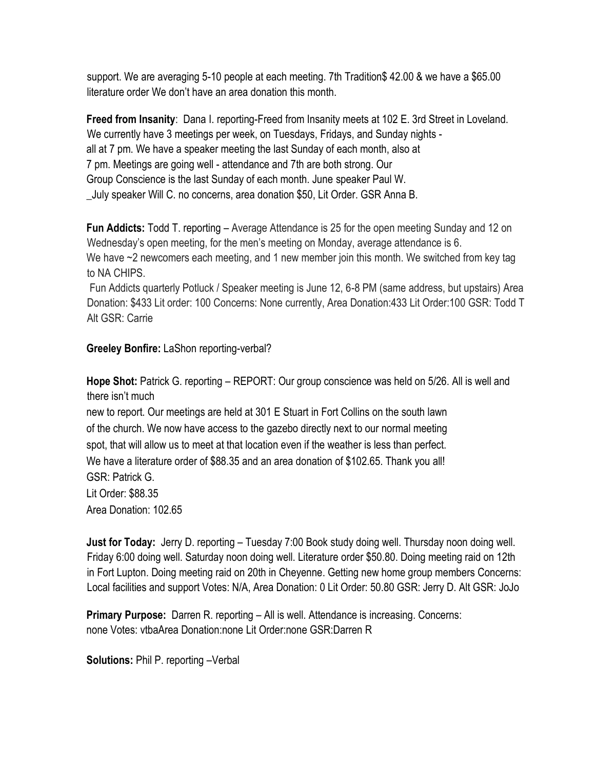support. We are averaging 5-10 people at each meeting. 7th Tradition\$ 42.00 & we have a \$65.00 literature order We don't have an area donation this month.

**Freed from Insanity**: Dana I. reporting-Freed from Insanity meets at 102 E. 3rd Street in Loveland. We currently have 3 meetings per week, on Tuesdays, Fridays, and Sunday nights all at 7 pm. We have a speaker meeting the last Sunday of each month, also at 7 pm. Meetings are going well - attendance and 7th are both strong. Our Group Conscience is the last Sunday of each month. June speaker Paul W. \_July speaker Will C. no concerns, area donation \$50, Lit Order. GSR Anna B.

**Fun Addicts:** Todd T. reporting – Average Attendance is 25 for the open meeting Sunday and 12 on Wednesday's open meeting, for the men's meeting on Monday, average attendance is 6. We have  $\sim$ 2 newcomers each meeting, and 1 new member join this month. We switched from key tag to NA CHIPS.

Fun Addicts quarterly Potluck / Speaker meeting is June 12, 6-8 PM (same address, but upstairs) Area Donation: \$433 Lit order: 100 Concerns: None currently, Area Donation:433 Lit Order:100 GSR: Todd T Alt GSR: Carrie

#### **Greeley Bonfire:** LaShon reporting-verbal?

**Hope Shot:** Patrick G. reporting – REPORT: Our group conscience was held on 5/26. All is well and there isn't much

new to report. Our meetings are held at 301 E Stuart in Fort Collins on the south lawn of the church. We now have access to the gazebo directly next to our normal meeting spot, that will allow us to meet at that location even if the weather is less than perfect. We have a literature order of \$88.35 and an area donation of \$102.65. Thank you all! GSR: Patrick G. Lit Order: \$88.35 Area Donation: 102.65

**Just for Today:** Jerry D. reporting – Tuesday 7:00 Book study doing well. Thursday noon doing well. Friday 6:00 doing well. Saturday noon doing well. Literature order \$50.80. Doing meeting raid on 12th in Fort Lupton. Doing meeting raid on 20th in Cheyenne. Getting new home group members Concerns: Local facilities and support Votes: N/A, Area Donation: 0 Lit Order: 50.80 GSR: Jerry D. Alt GSR: JoJo

**Primary Purpose:** Darren R. reporting – All is well. Attendance is increasing. Concerns: none Votes: vtbaArea Donation:none Lit Order:none GSR:Darren R

**Solutions:** Phil P. reporting –Verbal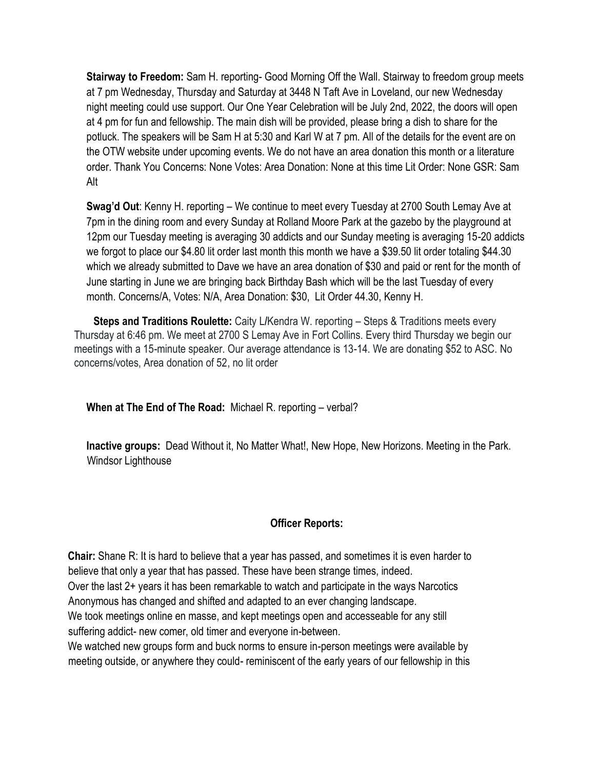**Stairway to Freedom:** Sam H. reporting- Good Morning Off the Wall. Stairway to freedom group meets at 7 pm Wednesday, Thursday and Saturday at 3448 N Taft Ave in Loveland, our new Wednesday night meeting could use support. Our One Year Celebration will be July 2nd, 2022, the doors will open at 4 pm for fun and fellowship. The main dish will be provided, please bring a dish to share for the potluck. The speakers will be Sam H at 5:30 and Karl W at 7 pm. All of the details for the event are on the OTW website under upcoming events. We do not have an area donation this month or a literature order. Thank You Concerns: None Votes: Area Donation: None at this time Lit Order: None GSR: Sam Alt

**Swag'd Out**: Kenny H. reporting – We continue to meet every Tuesday at 2700 South Lemay Ave at 7pm in the dining room and every Sunday at Rolland Moore Park at the gazebo by the playground at 12pm our Tuesday meeting is averaging 30 addicts and our Sunday meeting is averaging 15-20 addicts we forgot to place our \$4.80 lit order last month this month we have a \$39.50 lit order totaling \$44.30 which we already submitted to Dave we have an area donation of \$30 and paid or rent for the month of June starting in June we are bringing back Birthday Bash which will be the last Tuesday of every month. Concerns/A, Votes: N/A, Area Donation: \$30, Lit Order 44.30, Kenny H.

**Steps and Traditions Roulette:** Caity L**/**Kendra W. reporting – Steps & Traditions meets every Thursday at 6:46 pm. We meet at 2700 S Lemay Ave in Fort Collins. Every third Thursday we begin our meetings with a 15-minute speaker. Our average attendance is 13-14. We are donating \$52 to ASC. No concerns/votes, Area donation of 52, no lit order

**When at The End of The Road:** Michael R. reporting – verbal?

**Inactive groups:** Dead Without it, No Matter What!, New Hope, New Horizons. Meeting in the Park. Windsor Lighthouse

## **Officer Reports:**

**Chair:** Shane R: It is hard to believe that a year has passed, and sometimes it is even harder to believe that only a year that has passed. These have been strange times, indeed. Over the last 2+ years it has been remarkable to watch and participate in the ways Narcotics Anonymous has changed and shifted and adapted to an ever changing landscape. We took meetings online en masse, and kept meetings open and accesseable for any still suffering addict- new comer, old timer and everyone in-between.

We watched new groups form and buck norms to ensure in-person meetings were available by meeting outside, or anywhere they could- reminiscent of the early years of our fellowship in this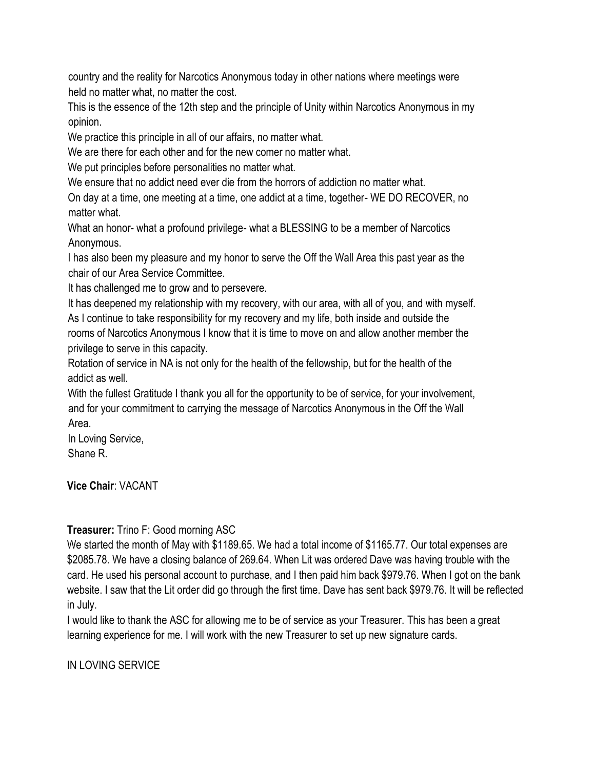country and the reality for Narcotics Anonymous today in other nations where meetings were held no matter what, no matter the cost.

This is the essence of the 12th step and the principle of Unity within Narcotics Anonymous in my opinion.

We practice this principle in all of our affairs, no matter what.

We are there for each other and for the new comer no matter what.

We put principles before personalities no matter what.

We ensure that no addict need ever die from the horrors of addiction no matter what.

On day at a time, one meeting at a time, one addict at a time, together- WE DO RECOVER, no matter what.

What an honor- what a profound privilege- what a BLESSING to be a member of Narcotics Anonymous.

I has also been my pleasure and my honor to serve the Off the Wall Area this past year as the chair of our Area Service Committee.

It has challenged me to grow and to persevere.

It has deepened my relationship with my recovery, with our area, with all of you, and with myself. As I continue to take responsibility for my recovery and my life, both inside and outside the rooms of Narcotics Anonymous I know that it is time to move on and allow another member the privilege to serve in this capacity.

Rotation of service in NA is not only for the health of the fellowship, but for the health of the addict as well.

With the fullest Gratitude I thank you all for the opportunity to be of service, for your involvement, and for your commitment to carrying the message of Narcotics Anonymous in the Off the Wall Area.

In Loving Service, Shane R.

**Vice Chair**: VACANT

# **Treasurer:** Trino F: Good morning ASC

We started the month of May with \$1189.65. We had a total income of \$1165.77. Our total expenses are \$2085.78. We have a closing balance of 269.64. When Lit was ordered Dave was having trouble with the card. He used his personal account to purchase, and I then paid him back \$979.76. When I got on the bank website. I saw that the Lit order did go through the first time. Dave has sent back \$979.76. It will be reflected in July.

I would like to thank the ASC for allowing me to be of service as your Treasurer. This has been a great learning experience for me. I will work with the new Treasurer to set up new signature cards.

IN LOVING SERVICE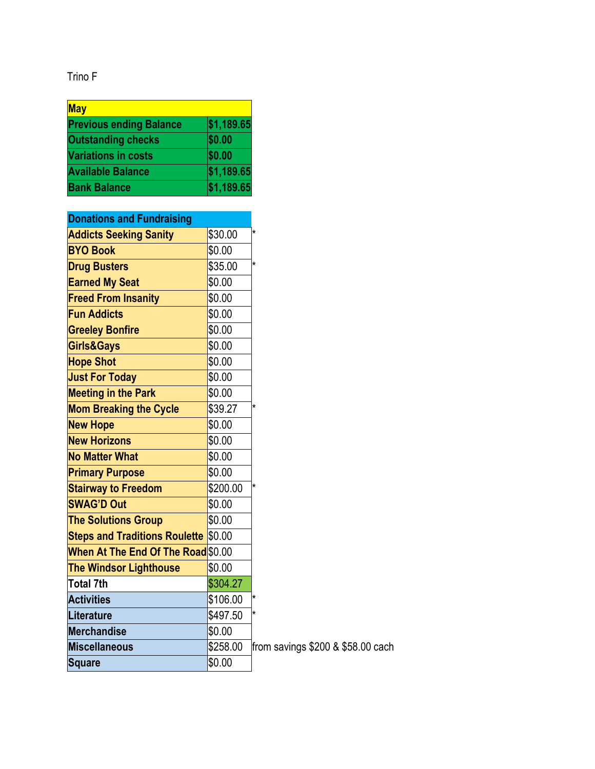Trino F

| <b>May</b>                     |            |  |  |
|--------------------------------|------------|--|--|
| <b>Previous ending Balance</b> | \$1,189.65 |  |  |
| <b>Outstanding checks</b>      | \$0.00     |  |  |
| <b>Variations in costs</b>     | \$0.00     |  |  |
| <b>Available Balance</b>       | \$1,189.65 |  |  |
| <b>Bank Balance</b>            | \$1,189.65 |  |  |

| <b>Donations and Fundraising</b>            |          |                                   |
|---------------------------------------------|----------|-----------------------------------|
| <b>Addicts Seeking Sanity</b>               | \$30.00  | $\star$                           |
| <b>BYO Book</b>                             | \$0.00   |                                   |
| <b>Drug Busters</b>                         | \$35.00  | $\star$                           |
| <b>Earned My Seat</b>                       | \$0.00   |                                   |
| <b>Freed From Insanity</b>                  | \$0.00   |                                   |
| <b>Fun Addicts</b>                          | \$0.00   |                                   |
| <b>Greeley Bonfire</b>                      | \$0.00   |                                   |
| Girls&Gays                                  | \$0.00   |                                   |
| <b>Hope Shot</b>                            | \$0.00   |                                   |
| <b>Just For Today</b>                       | \$0.00   |                                   |
| <b>Meeting in the Park</b>                  | \$0.00   |                                   |
| <b>Mom Breaking the Cycle</b>               | \$39.27  | $\star$                           |
| <b>New Hope</b>                             | \$0.00   |                                   |
| <b>New Horizons</b>                         | \$0.00   |                                   |
| <b>No Matter What</b>                       | \$0.00   |                                   |
| <b>Primary Purpose</b>                      | \$0.00   |                                   |
| <b>Stairway to Freedom</b>                  | \$200.00 | $\star$                           |
| <b>SWAG'D Out</b>                           | \$0.00   |                                   |
| <b>The Solutions Group</b>                  | \$0.00   |                                   |
| <b>Steps and Traditions Roulette \$0.00</b> |          |                                   |
| When At The End Of The Road \$0.00          |          |                                   |
| <b>The Windsor Lighthouse</b>               | \$0.00   |                                   |
| Total 7th                                   | \$304.27 |                                   |
| <b>Activities</b>                           | \$106.00 | $^\star$                          |
| <b>Literature</b>                           | \$497.50 | $\star$                           |
| <b>Merchandise</b>                          | \$0.00   |                                   |
| <b>Miscellaneous</b>                        | \$258.00 | from savings \$200 & \$58.00 cach |
| <b>Square</b>                               | \$0.00   |                                   |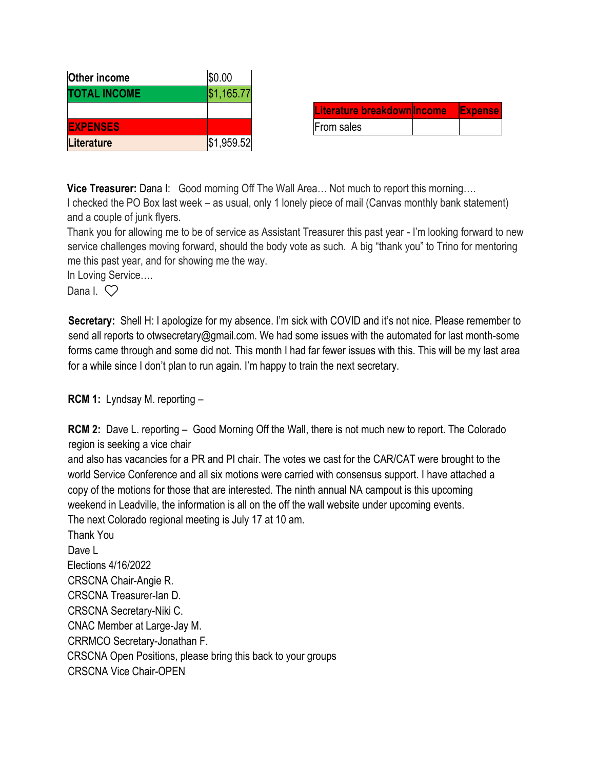| Other income        | \$0.00     |                   |
|---------------------|------------|-------------------|
| <b>TOTAL INCOME</b> | \$1,165.77 |                   |
|                     |            | <b>Literature</b> |
| <b>EXPENSES</b>     |            | From sales        |
| Literature          | \$1,959.52 |                   |

| Literature breakdownllncome | <b>Expense</b> |
|-----------------------------|----------------|
| From sales                  |                |

**Vice Treasurer:** Dana I: Good morning Off The Wall Area… Not much to report this morning…. I checked the PO Box last week – as usual, only 1 lonely piece of mail (Canvas monthly bank statement) and a couple of junk flyers.

Thank you for allowing me to be of service as Assistant Treasurer this past year - I'm looking forward to new service challenges moving forward, should the body vote as such. A big "thank you" to Trino for mentoring me this past year, and for showing me the way.

In Loving Service….

Dana  $\sqrt{2}$ 

**Secretary:** Shell H: I apologize for my absence. I'm sick with COVID and it's not nice. Please remember to send all reports to otwsecretary@gmail.com. We had some issues with the automated for last month-some forms came through and some did not. This month I had far fewer issues with this. This will be my last area for a while since I don't plan to run again. I'm happy to train the next secretary.

**RCM 1:** Lyndsay M. reporting –

**RCM 2:** Dave L. reporting – Good Morning Off the Wall, there is not much new to report. The Colorado region is seeking a vice chair

and also has vacancies for a PR and PI chair. The votes we cast for the CAR/CAT were brought to the world Service Conference and all six motions were carried with consensus support. I have attached a copy of the motions for those that are interested. The ninth annual NA campout is this upcoming weekend in Leadville, the information is all on the off the wall website under upcoming events. The next Colorado regional meeting is July 17 at 10 am.

Thank You Dave L Elections 4/16/2022 CRSCNA Chair-Angie R. CRSCNA Treasurer-Ian D. CRSCNA Secretary-Niki C. CNAC Member at Large-Jay M. CRRMCO Secretary-Jonathan F. CRSCNA Open Positions, please bring this back to your groups CRSCNA Vice Chair-OPEN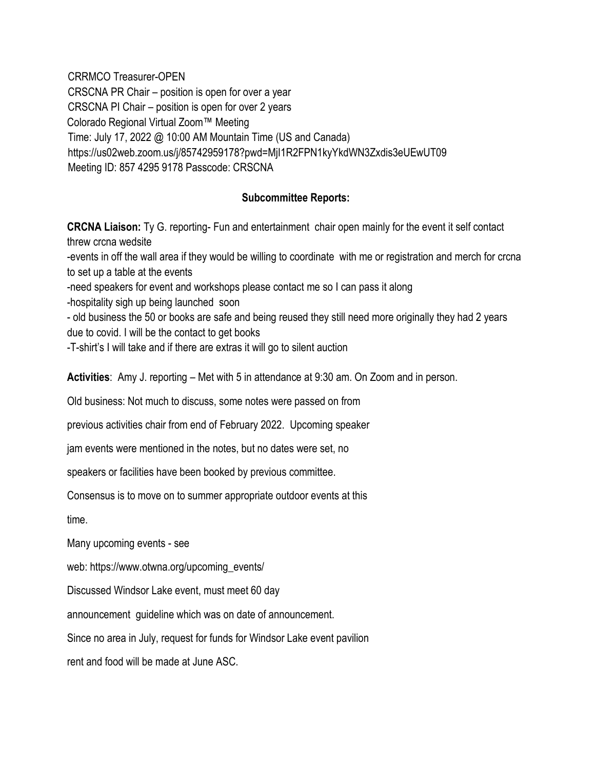CRRMCO Treasurer-OPEN CRSCNA PR Chair – position is open for over a year CRSCNA PI Chair – position is open for over 2 years Colorado Regional Virtual Zoom™ Meeting Time: July 17, 2022 @ 10:00 AM Mountain Time (US and Canada) https://us02web.zoom.us/j/85742959178?pwd=MjI1R2FPN1kyYkdWN3Zxdis3eUEwUT09 Meeting ID: 857 4295 9178 Passcode: CRSCNA

#### **Subcommittee Reports:**

**CRCNA Liaison:** Ty G. reporting- Fun and entertainment chair open mainly for the event it self contact threw crcna wedsite -events in off the wall area if they would be willing to coordinate with me or registration and merch for crcna to set up a table at the events -need speakers for event and workshops please contact me so I can pass it along

-hospitality sigh up being launched soon

- old business the 50 or books are safe and being reused they still need more originally they had 2 years due to covid. I will be the contact to get books

-T-shirt's I will take and if there are extras it will go to silent auction

**Activities**: Amy J. reporting – Met with 5 in attendance at 9:30 am. On Zoom and in person.

Old business: Not much to discuss, some notes were passed on from

previous activities chair from end of February 2022. Upcoming speaker

jam events were mentioned in the notes, but no dates were set, no

speakers or facilities have been booked by previous committee.

Consensus is to move on to summer appropriate outdoor events at this

time.

Many upcoming events - see

web: https://www.otwna.org/upcoming\_events/

Discussed Windsor Lake event, must meet 60 day

announcement guideline which was on date of announcement.

Since no area in July, request for funds for Windsor Lake event pavilion

rent and food will be made at June ASC.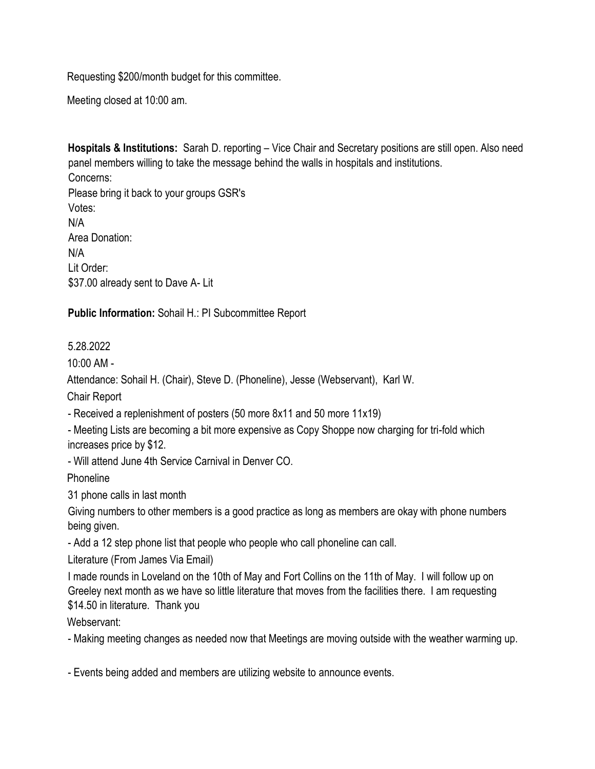Requesting \$200/month budget for this committee.

Meeting closed at 10:00 am.

**Hospitals & Institutions:** Sarah D. reporting – Vice Chair and Secretary positions are still open. Also need panel members willing to take the message behind the walls in hospitals and institutions. Concerns: Please bring it back to your groups GSR's Votes: N/A Area Donation: N/A Lit Order: \$37.00 already sent to Dave A- Lit

**Public Information:** Sohail H.: PI Subcommittee Report

5.28.2022

10:00 AM -

Attendance: Sohail H. (Chair), Steve D. (Phoneline), Jesse (Webservant), Karl W.

Chair Report

- Received a replenishment of posters (50 more 8x11 and 50 more 11x19)

- Meeting Lists are becoming a bit more expensive as Copy Shoppe now charging for tri-fold which increases price by \$12.

- Will attend June 4th Service Carnival in Denver CO.

**Phoneline** 

31 phone calls in last month

Giving numbers to other members is a good practice as long as members are okay with phone numbers being given.

- Add a 12 step phone list that people who people who call phoneline can call.

Literature (From James Via Email)

I made rounds in Loveland on the 10th of May and Fort Collins on the 11th of May. I will follow up on Greeley next month as we have so little literature that moves from the facilities there. I am requesting \$14.50 in literature. Thank you

Webservant:

- Making meeting changes as needed now that Meetings are moving outside with the weather warming up.

- Events being added and members are utilizing website to announce events.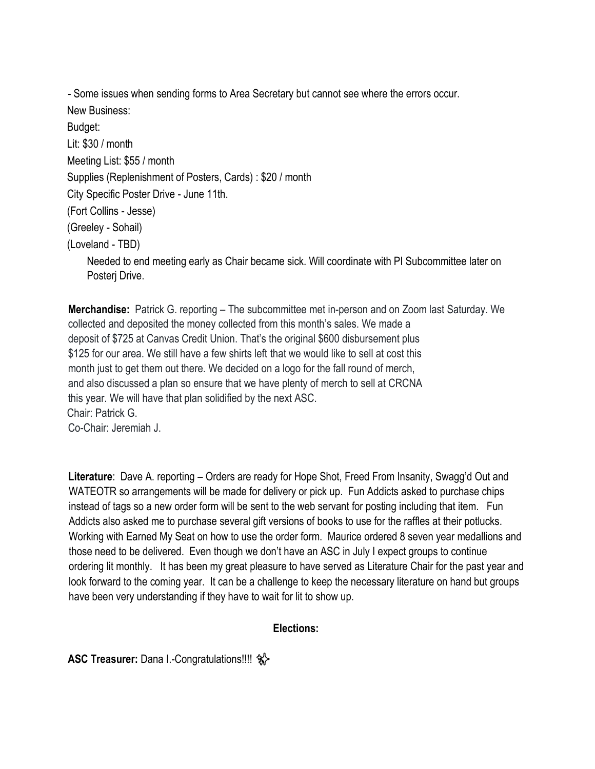- Some issues when sending forms to Area Secretary but cannot see where the errors occur.

New Business: Budget: Lit: \$30 / month Meeting List: \$55 / month Supplies (Replenishment of Posters, Cards) : \$20 / month City Specific Poster Drive - June 11th. (Fort Collins - Jesse) (Greeley - Sohail) (Loveland - TBD) Needed to end meeting early as Chair became sick. Will coordinate with PI Subcommittee later on Posterj Drive.

**Merchandise:** Patrick G. reporting – The subcommittee met in-person and on Zoom last Saturday. We collected and deposited the money collected from this month's sales. We made a deposit of \$725 at Canvas Credit Union. That's the original \$600 disbursement plus \$125 for our area. We still have a few shirts left that we would like to sell at cost this month just to get them out there. We decided on a logo for the fall round of merch, and also discussed a plan so ensure that we have plenty of merch to sell at CRCNA this year. We will have that plan solidified by the next ASC. Chair: Patrick G. Co-Chair: Jeremiah J.

**Literature**: Dave A. reporting – Orders are ready for Hope Shot, Freed From Insanity, Swagg'd Out and WATEOTR so arrangements will be made for delivery or pick up. Fun Addicts asked to purchase chips instead of tags so a new order form will be sent to the web servant for posting including that item. Fun Addicts also asked me to purchase several gift versions of books to use for the raffles at their potlucks. Working with Earned My Seat on how to use the order form. Maurice ordered 8 seven year medallions and those need to be delivered. Even though we don't have an ASC in July I expect groups to continue ordering lit monthly. It has been my great pleasure to have served as Literature Chair for the past year and look forward to the coming year. It can be a challenge to keep the necessary literature on hand but groups have been very understanding if they have to wait for lit to show up.

## **Elections:**

**ASC Treasurer:** Dana I.-Congratulations!!!! ✨